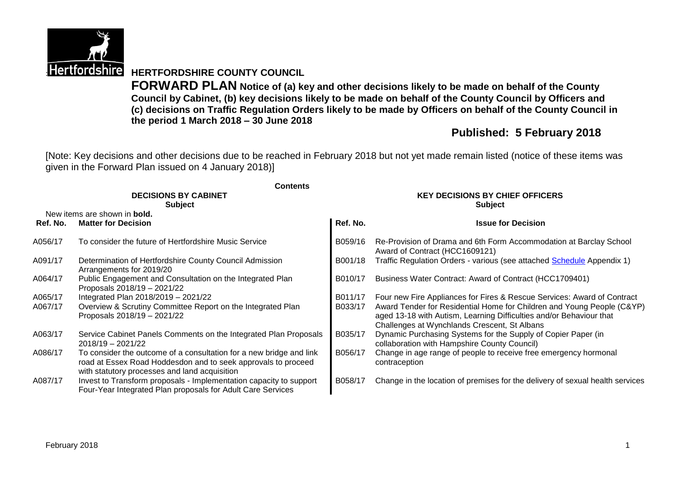

**Hertfordshire HERTFORDSHIRE COUNTY COUNCIL** 

**FORWARD PLAN Notice of (a) key and other decisions likely to be made on behalf of the County Council by Cabinet, (b) key decisions likely to be made on behalf of the County Council by Officers and (c) decisions on Traffic Regulation Orders likely to be made by Officers on behalf of the County Council in the period 1 March 2018 – 30 June 2018**

# **Published: 5 February 2018**

[Note: Key decisions and other decisions due to be reached in February 2018 but not yet made remain listed (notice of these items was given in the Forward Plan issued on 4 January 2018)]

|          | <b>Contents</b><br><b>DECISIONS BY CABINET</b><br><b>Subject</b>                                                                                                                      | <b>KEY DECISIONS BY CHIEF OFFICERS</b><br><b>Subject</b> |                                                                                                                                                                                               |  |  |
|----------|---------------------------------------------------------------------------------------------------------------------------------------------------------------------------------------|----------------------------------------------------------|-----------------------------------------------------------------------------------------------------------------------------------------------------------------------------------------------|--|--|
| Ref. No. | New items are shown in <b>bold.</b><br><b>Matter for Decision</b>                                                                                                                     | Ref. No.                                                 | <b>Issue for Decision</b>                                                                                                                                                                     |  |  |
|          |                                                                                                                                                                                       |                                                          |                                                                                                                                                                                               |  |  |
| A056/17  | To consider the future of Hertfordshire Music Service                                                                                                                                 | B059/16                                                  | Re-Provision of Drama and 6th Form Accommodation at Barclay School<br>Award of Contract (HCC1609121)                                                                                          |  |  |
| A091/17  | Determination of Hertfordshire County Council Admission<br>Arrangements for 2019/20                                                                                                   | B001/18                                                  | Traffic Regulation Orders - various (see attached Schedule Appendix 1)                                                                                                                        |  |  |
| A064/17  | Public Engagement and Consultation on the Integrated Plan<br>Proposals 2018/19 - 2021/22                                                                                              | B010/17                                                  | Business Water Contract: Award of Contract (HCC1709401)                                                                                                                                       |  |  |
| A065/17  | Integrated Plan 2018/2019 - 2021/22                                                                                                                                                   | B011/17                                                  | Four new Fire Appliances for Fires & Rescue Services: Award of Contract                                                                                                                       |  |  |
| A067/17  | Overview & Scrutiny Committee Report on the Integrated Plan<br>Proposals 2018/19 - 2021/22                                                                                            | B033/17                                                  | Award Tender for Residential Home for Children and Young People (C&YP)<br>aged 13-18 with Autism, Learning Difficulties and/or Behaviour that<br>Challenges at Wynchlands Crescent, St Albans |  |  |
| A063/17  | Service Cabinet Panels Comments on the Integrated Plan Proposals<br>$2018/19 - 2021/22$                                                                                               | B035/17                                                  | Dynamic Purchasing Systems for the Supply of Copier Paper (in<br>collaboration with Hampshire County Council)                                                                                 |  |  |
| A086/17  | To consider the outcome of a consultation for a new bridge and link<br>road at Essex Road Hoddesdon and to seek approvals to proceed<br>with statutory processes and land acquisition | B056/17                                                  | Change in age range of people to receive free emergency hormonal<br>contraception                                                                                                             |  |  |
| A087/17  | Invest to Transform proposals - Implementation capacity to support<br>Four-Year Integrated Plan proposals for Adult Care Services                                                     | B058/17                                                  | Change in the location of premises for the delivery of sexual health services                                                                                                                 |  |  |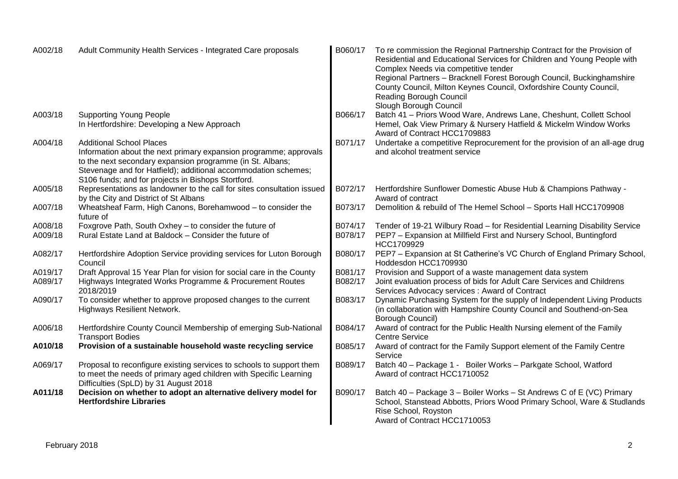| A002/18 | Adult Community Health Services - Integrated Care proposals                                                                                                                                      | B060/17 | To re commission the Regional Partnership Contract for the Provision of<br>Residential and Educational Services for Children and Young People with<br>Complex Needs via competitive tender<br>Regional Partners - Bracknell Forest Borough Council, Buckinghamshire<br>County Council, Milton Keynes Council, Oxfordshire County Council,<br>Reading Borough Council |
|---------|--------------------------------------------------------------------------------------------------------------------------------------------------------------------------------------------------|---------|----------------------------------------------------------------------------------------------------------------------------------------------------------------------------------------------------------------------------------------------------------------------------------------------------------------------------------------------------------------------|
| A003/18 | <b>Supporting Young People</b>                                                                                                                                                                   | B066/17 | Slough Borough Council<br>Batch 41 - Priors Wood Ware, Andrews Lane, Cheshunt, Collett School                                                                                                                                                                                                                                                                        |
|         | In Hertfordshire: Developing a New Approach                                                                                                                                                      |         | Hemel, Oak View Primary & Nursery Hatfield & Mickelm Window Works<br>Award of Contract HCC1709883                                                                                                                                                                                                                                                                    |
| A004/18 | <b>Additional School Places</b>                                                                                                                                                                  | B071/17 | Undertake a competitive Reprocurement for the provision of an all-age drug                                                                                                                                                                                                                                                                                           |
|         | Information about the next primary expansion programme; approvals<br>to the next secondary expansion programme (in St. Albans;<br>Stevenage and for Hatfield); additional accommodation schemes; |         | and alcohol treatment service                                                                                                                                                                                                                                                                                                                                        |
|         | S106 funds; and for projects in Bishops Stortford.                                                                                                                                               |         |                                                                                                                                                                                                                                                                                                                                                                      |
| A005/18 | Representations as landowner to the call for sites consultation issued<br>by the City and District of St Albans                                                                                  | B072/17 | Hertfordshire Sunflower Domestic Abuse Hub & Champions Pathway -<br>Award of contract                                                                                                                                                                                                                                                                                |
| A007/18 | Wheatsheaf Farm, High Canons, Borehamwood - to consider the<br>future of                                                                                                                         | B073/17 | Demolition & rebuild of The Hemel School - Sports Hall HCC1709908                                                                                                                                                                                                                                                                                                    |
| A008/18 | Foxgrove Path, South Oxhey - to consider the future of                                                                                                                                           | B074/17 | Tender of 19-21 Wilbury Road - for Residential Learning Disability Service                                                                                                                                                                                                                                                                                           |
| A009/18 | Rural Estate Land at Baldock - Consider the future of                                                                                                                                            | B078/17 | PEP7 - Expansion at Millfield First and Nursery School, Buntingford<br>HCC1709929                                                                                                                                                                                                                                                                                    |
| A082/17 | Hertfordshire Adoption Service providing services for Luton Borough<br>Council                                                                                                                   | B080/17 | PEP7 - Expansion at St Catherine's VC Church of England Primary School,<br>Hoddesdon HCC1709930                                                                                                                                                                                                                                                                      |
| A019/17 | Draft Approval 15 Year Plan for vision for social care in the County                                                                                                                             | B081/17 | Provision and Support of a waste management data system                                                                                                                                                                                                                                                                                                              |
| A089/17 | Highways Integrated Works Programme & Procurement Routes<br>2018/2019                                                                                                                            | B082/17 | Joint evaluation process of bids for Adult Care Services and Childrens<br>Services Advocacy services: Award of Contract                                                                                                                                                                                                                                              |
| A090/17 | To consider whether to approve proposed changes to the current<br><b>Highways Resilient Network.</b>                                                                                             | B083/17 | Dynamic Purchasing System for the supply of Independent Living Products<br>(in collaboration with Hampshire County Council and Southend-on-Sea<br><b>Borough Council)</b>                                                                                                                                                                                            |
| A006/18 | Hertfordshire County Council Membership of emerging Sub-National<br><b>Transport Bodies</b>                                                                                                      | B084/17 | Award of contract for the Public Health Nursing element of the Family<br><b>Centre Service</b>                                                                                                                                                                                                                                                                       |
| A010/18 | Provision of a sustainable household waste recycling service                                                                                                                                     | B085/17 | Award of contract for the Family Support element of the Family Centre<br>Service                                                                                                                                                                                                                                                                                     |
| A069/17 | Proposal to reconfigure existing services to schools to support them<br>to meet the needs of primary aged children with Specific Learning<br>Difficulties (SpLD) by 31 August 2018               | B089/17 | Batch 40 - Package 1 - Boiler Works - Parkgate School, Watford<br>Award of contract HCC1710052                                                                                                                                                                                                                                                                       |
| A011/18 | Decision on whether to adopt an alternative delivery model for<br><b>Hertfordshire Libraries</b>                                                                                                 | B090/17 | Batch 40 - Package 3 - Boiler Works - St Andrews C of E (VC) Primary<br>School, Stanstead Abbotts, Priors Wood Primary School, Ware & Studlands<br>Rise School, Royston<br>Award of Contract HCC1710053                                                                                                                                                              |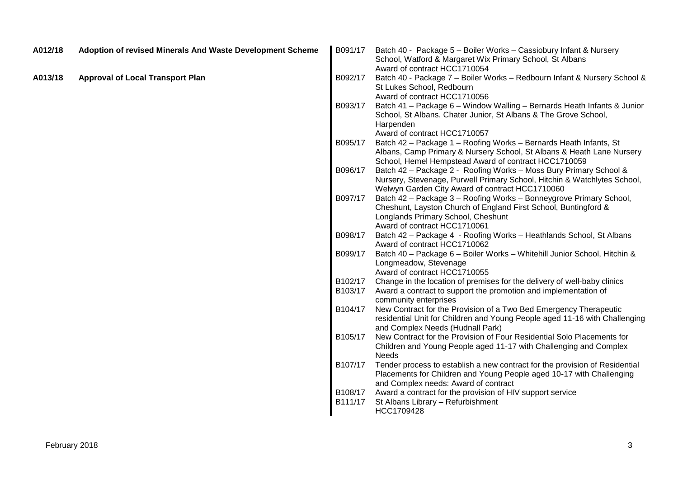| A012/18 | Adoption of revised Minerals And Waste Development Scheme | B091/17 | Batch 40 - Package 5 - Boiler Works - Cassiobury Infant & Nursery<br>School, Watford & Margaret Wix Primary School, St Albans                                                                               |
|---------|-----------------------------------------------------------|---------|-------------------------------------------------------------------------------------------------------------------------------------------------------------------------------------------------------------|
| A013/18 | <b>Approval of Local Transport Plan</b>                   | B092/17 | Award of contract HCC1710054<br>Batch 40 - Package 7 - Boiler Works - Redbourn Infant & Nursery School &<br>St Lukes School, Redbourn<br>Award of contract HCC1710056                                       |
|         |                                                           | B093/17 | Batch 41 - Package 6 - Window Walling - Bernards Heath Infants & Junior<br>School, St Albans. Chater Junior, St Albans & The Grove School,<br>Harpenden<br>Award of contract HCC1710057                     |
|         |                                                           | B095/17 | Batch 42 - Package 1 - Roofing Works - Bernards Heath Infants, St<br>Albans, Camp Primary & Nursery School, St Albans & Heath Lane Nursery<br>School, Hemel Hempstead Award of contract HCC1710059          |
|         |                                                           | B096/17 | Batch 42 - Package 2 - Roofing Works - Moss Bury Primary School &<br>Nursery, Stevenage, Purwell Primary School, Hitchin & Watchlytes School,<br>Welwyn Garden City Award of contract HCC1710060            |
|         |                                                           | B097/17 | Batch 42 - Package 3 - Roofing Works - Bonneygrove Primary School,<br>Cheshunt, Layston Church of England First School, Buntingford &<br>Longlands Primary School, Cheshunt<br>Award of contract HCC1710061 |
|         |                                                           | B098/17 | Batch 42 - Package 4 - Roofing Works - Heathlands School, St Albans<br>Award of contract HCC1710062                                                                                                         |
|         |                                                           | B099/17 | Batch 40 - Package 6 - Boiler Works - Whitehill Junior School, Hitchin &<br>Longmeadow, Stevenage<br>Award of contract HCC1710055                                                                           |
|         |                                                           | B102/17 | Change in the location of premises for the delivery of well-baby clinics                                                                                                                                    |
|         |                                                           | B103/17 | Award a contract to support the promotion and implementation of<br>community enterprises                                                                                                                    |
|         |                                                           | B104/17 | New Contract for the Provision of a Two Bed Emergency Therapeutic<br>residential Unit for Children and Young People aged 11-16 with Challenging<br>and Complex Needs (Hudnall Park)                         |
|         |                                                           | B105/17 | New Contract for the Provision of Four Residential Solo Placements for<br>Children and Young People aged 11-17 with Challenging and Complex<br><b>Needs</b>                                                 |
|         |                                                           | B107/17 | Tender process to establish a new contract for the provision of Residential<br>Placements for Children and Young People aged 10-17 with Challenging<br>and Complex needs: Award of contract                 |
|         |                                                           | B108/17 | Award a contract for the provision of HIV support service                                                                                                                                                   |
|         |                                                           | B111/17 | St Albans Library - Refurbishment<br>HCC1709428                                                                                                                                                             |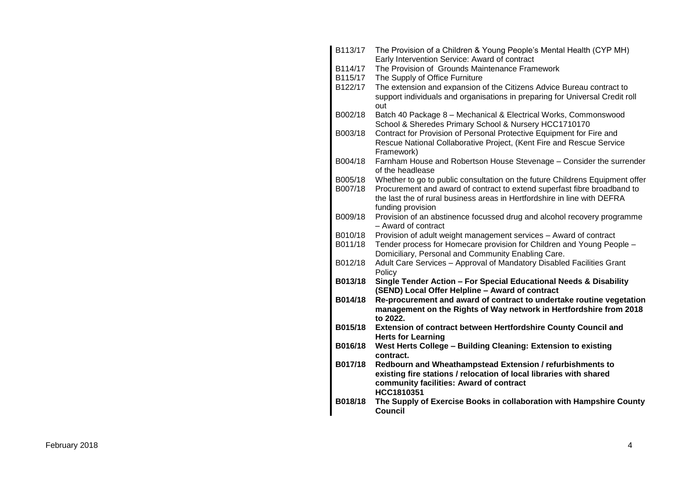| B113/17 | The Provision of a Children & Young People's Mental Health (CYP MH)<br>Early Intervention Service: Award of contract                       |
|---------|--------------------------------------------------------------------------------------------------------------------------------------------|
| B114/17 | The Provision of Grounds Maintenance Framework                                                                                             |
| B115/17 | The Supply of Office Furniture                                                                                                             |
| B122/17 | The extension and expansion of the Citizens Advice Bureau contract to                                                                      |
|         | support individuals and organisations in preparing for Universal Credit roll                                                               |
|         | out                                                                                                                                        |
| B002/18 | Batch 40 Package 8 - Mechanical & Electrical Works, Commonswood                                                                            |
|         | School & Sheredes Primary School & Nursery HCC1710170                                                                                      |
| B003/18 | Contract for Provision of Personal Protective Equipment for Fire and                                                                       |
|         | Rescue National Collaborative Project, (Kent Fire and Rescue Service                                                                       |
|         | Framework)                                                                                                                                 |
| B004/18 | Farnham House and Robertson House Stevenage - Consider the surrender                                                                       |
|         | of the headlease                                                                                                                           |
| B005/18 | Whether to go to public consultation on the future Childrens Equipment offer                                                               |
| B007/18 | Procurement and award of contract to extend superfast fibre broadband to                                                                   |
|         | the last the of rural business areas in Hertfordshire in line with DEFRA                                                                   |
|         | funding provision                                                                                                                          |
| B009/18 | Provision of an abstinence focussed drug and alcohol recovery programme                                                                    |
|         | - Award of contract                                                                                                                        |
| B010/18 | Provision of adult weight management services - Award of contract                                                                          |
| B011/18 | Tender process for Homecare provision for Children and Young People -                                                                      |
|         | Domiciliary, Personal and Community Enabling Care.                                                                                         |
| B012/18 | Adult Care Services - Approval of Mandatory Disabled Facilities Grant                                                                      |
|         | Policy                                                                                                                                     |
| B013/18 | Single Tender Action - For Special Educational Needs & Disability                                                                          |
|         | (SEND) Local Offer Helpline - Award of contract                                                                                            |
| B014/18 | Re-procurement and award of contract to undertake routine vegetation<br>management on the Rights of Way network in Hertfordshire from 2018 |
|         | to 2022.                                                                                                                                   |
| B015/18 | Extension of contract between Hertfordshire County Council and                                                                             |
|         | <b>Herts for Learning</b>                                                                                                                  |
| B016/18 | West Herts College - Building Cleaning: Extension to existing                                                                              |
|         | contract.                                                                                                                                  |
| B017/18 | Redbourn and Wheathampstead Extension / refurbishments to                                                                                  |
|         | existing fire stations / relocation of local libraries with shared                                                                         |
|         | community facilities: Award of contract                                                                                                    |
|         | HCC1810351                                                                                                                                 |
| B018/18 | The Supply of Exercise Books in collaboration with Hampshire County                                                                        |
|         | Council                                                                                                                                    |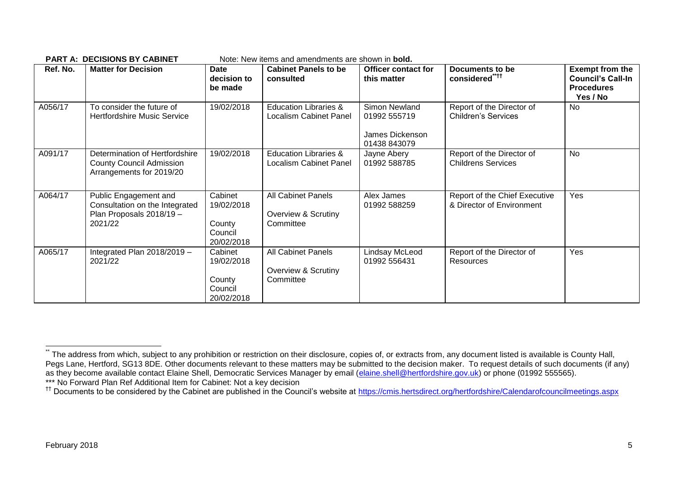| Ref. No. | <b>Matter for Decision</b>                                                                     | <b>Date</b><br>decision to<br>be made                    | <b>Cabinet Panels to be</b><br>consulted                          | <b>Officer contact for</b><br>this matter                        | Documents to be<br>considered****                          | <b>Exempt from the</b><br><b>Council's Call-In</b><br><b>Procedures</b><br>Yes / No |
|----------|------------------------------------------------------------------------------------------------|----------------------------------------------------------|-------------------------------------------------------------------|------------------------------------------------------------------|------------------------------------------------------------|-------------------------------------------------------------------------------------|
| A056/17  | To consider the future of<br><b>Hertfordshire Music Service</b>                                | 19/02/2018                                               | Education Libraries &<br>Localism Cabinet Panel                   | Simon Newland<br>01992 555719<br>James Dickenson<br>01438 843079 | Report of the Director of<br><b>Children's Services</b>    | No                                                                                  |
| A091/17  | Determination of Hertfordshire<br><b>County Council Admission</b><br>Arrangements for 2019/20  | 19/02/2018                                               | <b>Education Libraries &amp;</b><br><b>Localism Cabinet Panel</b> | Jayne Abery<br>01992 588785                                      | Report of the Director of<br><b>Childrens Services</b>     | <b>No</b>                                                                           |
| A064/17  | Public Engagement and<br>Consultation on the Integrated<br>Plan Proposals 2018/19 -<br>2021/22 | Cabinet<br>19/02/2018<br>County<br>Council<br>20/02/2018 | All Cabinet Panels<br>Overview & Scrutiny<br>Committee            | Alex James<br>01992 588259                                       | Report of the Chief Executive<br>& Director of Environment | Yes                                                                                 |
| A065/17  | Integrated Plan 2018/2019 -<br>2021/22                                                         | Cabinet<br>19/02/2018<br>County<br>Council<br>20/02/2018 | <b>All Cabinet Panels</b><br>Overview & Scrutiny<br>Committee     | Lindsay McLeod<br>01992 556431                                   | Report of the Director of<br><b>Resources</b>              | Yes                                                                                 |

**PART A: DECISIONS BY CABINET** Note: New items and amendments are shown in **bold.**

1

The address from which, subject to any prohibition or restriction on their disclosure, copies of, or extracts from, any document listed is available is County Hall, Pegs Lane, Hertford, SG13 8DE. Other documents relevant to these matters may be submitted to the decision maker. To request details of such documents (if any) as they become available contact Elaine Shell, Democratic Services Manager by email [\(elaine.shell@hertfordshire.gov.uk\)](mailto:elaine.shell@hertfordshire.gov.uk) or phone (01992 555565). \*\*\* No Forward Plan Ref Additional Item for Cabinet: Not a key decision

<sup>&</sup>lt;sup>††</sup> Documents to be considered by the Cabinet are published in the Council's website at<https://cmis.hertsdirect.org/hertfordshire/Calendarofcouncilmeetings.aspx>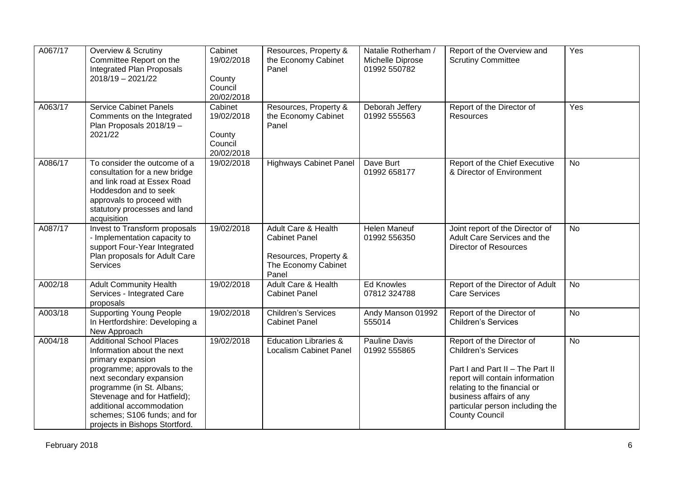| A067/17 | Overview & Scrutiny<br>Committee Report on the<br>Integrated Plan Proposals<br>$2018/19 - 2021/22$                                                                                                                                                                                                       | Cabinet<br>19/02/2018<br>County<br>Council<br>20/02/2018 | Resources, Property &<br>the Economy Cabinet<br>Panel                                                | Natalie Rotherham /<br>Michelle Diprose<br>01992 550782 | Report of the Overview and<br><b>Scrutiny Committee</b>                                                                                                                                                                                               | Yes       |
|---------|----------------------------------------------------------------------------------------------------------------------------------------------------------------------------------------------------------------------------------------------------------------------------------------------------------|----------------------------------------------------------|------------------------------------------------------------------------------------------------------|---------------------------------------------------------|-------------------------------------------------------------------------------------------------------------------------------------------------------------------------------------------------------------------------------------------------------|-----------|
| A063/17 | <b>Service Cabinet Panels</b><br>Comments on the Integrated<br>Plan Proposals 2018/19 -<br>2021/22                                                                                                                                                                                                       | Cabinet<br>19/02/2018<br>County<br>Council<br>20/02/2018 | Resources, Property &<br>the Economy Cabinet<br>Panel                                                | Deborah Jeffery<br>01992 555563                         | Report of the Director of<br>Resources                                                                                                                                                                                                                | Yes       |
| A086/17 | To consider the outcome of a<br>consultation for a new bridge<br>and link road at Essex Road<br>Hoddesdon and to seek<br>approvals to proceed with<br>statutory processes and land<br>acquisition                                                                                                        | 19/02/2018                                               | <b>Highways Cabinet Panel</b>                                                                        | Dave Burt<br>01992 658177                               | Report of the Chief Executive<br>& Director of Environment                                                                                                                                                                                            | <b>No</b> |
| A087/17 | Invest to Transform proposals<br>- Implementation capacity to<br>support Four-Year Integrated<br>Plan proposals for Adult Care<br><b>Services</b>                                                                                                                                                        | 19/02/2018                                               | Adult Care & Health<br><b>Cabinet Panel</b><br>Resources, Property &<br>The Economy Cabinet<br>Panel | Helen Maneuf<br>01992 556350                            | Joint report of the Director of<br>Adult Care Services and the<br><b>Director of Resources</b>                                                                                                                                                        | <b>No</b> |
| A002/18 | <b>Adult Community Health</b><br>Services - Integrated Care<br>proposals                                                                                                                                                                                                                                 | 19/02/2018                                               | <b>Adult Care &amp; Health</b><br><b>Cabinet Panel</b>                                               | <b>Ed Knowles</b><br>07812 324788                       | Report of the Director of Adult<br><b>Care Services</b>                                                                                                                                                                                               | <b>No</b> |
| A003/18 | <b>Supporting Young People</b><br>In Hertfordshire: Developing a<br>New Approach                                                                                                                                                                                                                         | 19/02/2018                                               | <b>Children's Services</b><br><b>Cabinet Panel</b>                                                   | Andy Manson 01992<br>555014                             | Report of the Director of<br><b>Children's Services</b>                                                                                                                                                                                               | <b>No</b> |
| A004/18 | <b>Additional School Places</b><br>Information about the next<br>primary expansion<br>programme; approvals to the<br>next secondary expansion<br>programme (in St. Albans;<br>Stevenage and for Hatfield);<br>additional accommodation<br>schemes; S106 funds; and for<br>projects in Bishops Stortford. | 19/02/2018                                               | <b>Education Libraries &amp;</b><br><b>Localism Cabinet Panel</b>                                    | Pauline Davis<br>01992 555865                           | Report of the Director of<br><b>Children's Services</b><br>Part I and Part II - The Part II<br>report will contain information<br>relating to the financial or<br>business affairs of any<br>particular person including the<br><b>County Council</b> | No        |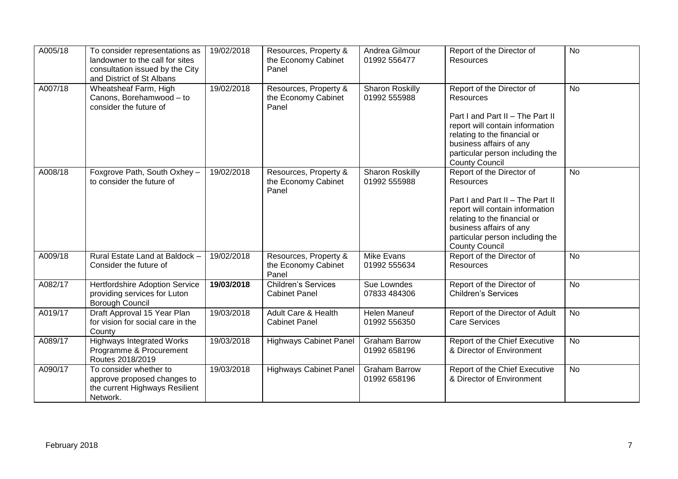| A005/18 | To consider representations as<br>landowner to the call for sites<br>consultation issued by the City<br>and District of St Albans | 19/02/2018 | Resources, Property &<br>the Economy Cabinet<br>Panel | Andrea Gilmour<br>01992 556477         | Report of the Director of<br>Resources                                                                                                                                                                                                      | <b>No</b> |
|---------|-----------------------------------------------------------------------------------------------------------------------------------|------------|-------------------------------------------------------|----------------------------------------|---------------------------------------------------------------------------------------------------------------------------------------------------------------------------------------------------------------------------------------------|-----------|
| A007/18 | Wheatsheaf Farm, High<br>Canons, Borehamwood - to<br>consider the future of                                                       | 19/02/2018 | Resources, Property &<br>the Economy Cabinet<br>Panel | <b>Sharon Roskilly</b><br>01992 555988 | Report of the Director of<br><b>Resources</b><br>Part I and Part II - The Part II<br>report will contain information<br>relating to the financial or<br>business affairs of any<br>particular person including the<br><b>County Council</b> | <b>No</b> |
| A008/18 | Foxgrove Path, South Oxhey -<br>to consider the future of                                                                         | 19/02/2018 | Resources, Property &<br>the Economy Cabinet<br>Panel | <b>Sharon Roskilly</b><br>01992 555988 | Report of the Director of<br><b>Resources</b><br>Part I and Part II - The Part II<br>report will contain information<br>relating to the financial or<br>business affairs of any<br>particular person including the<br><b>County Council</b> | <b>No</b> |
| A009/18 | Rural Estate Land at Baldock -<br>Consider the future of                                                                          | 19/02/2018 | Resources, Property &<br>the Economy Cabinet<br>Panel | Mike Evans<br>01992 555634             | Report of the Director of<br>Resources                                                                                                                                                                                                      | No        |
| A082/17 | <b>Hertfordshire Adoption Service</b><br>providing services for Luton<br><b>Borough Council</b>                                   | 19/03/2018 | <b>Children's Services</b><br><b>Cabinet Panel</b>    | Sue Lowndes<br>07833 484306            | Report of the Director of<br><b>Children's Services</b>                                                                                                                                                                                     | No        |
| A019/17 | Draft Approval 15 Year Plan<br>for vision for social care in the<br>County                                                        | 19/03/2018 | Adult Care & Health<br><b>Cabinet Panel</b>           | <b>Helen Maneuf</b><br>01992 556350    | Report of the Director of Adult<br><b>Care Services</b>                                                                                                                                                                                     | <b>No</b> |
| A089/17 | <b>Highways Integrated Works</b><br>Programme & Procurement<br>Routes 2018/2019                                                   | 19/03/2018 | <b>Highways Cabinet Panel</b>                         | <b>Graham Barrow</b><br>01992 658196   | Report of the Chief Executive<br>& Director of Environment                                                                                                                                                                                  | <b>No</b> |
| A090/17 | To consider whether to<br>approve proposed changes to<br>the current Highways Resilient<br>Network.                               | 19/03/2018 | <b>Highways Cabinet Panel</b>                         | <b>Graham Barrow</b><br>01992 658196   | Report of the Chief Executive<br>& Director of Environment                                                                                                                                                                                  | <b>No</b> |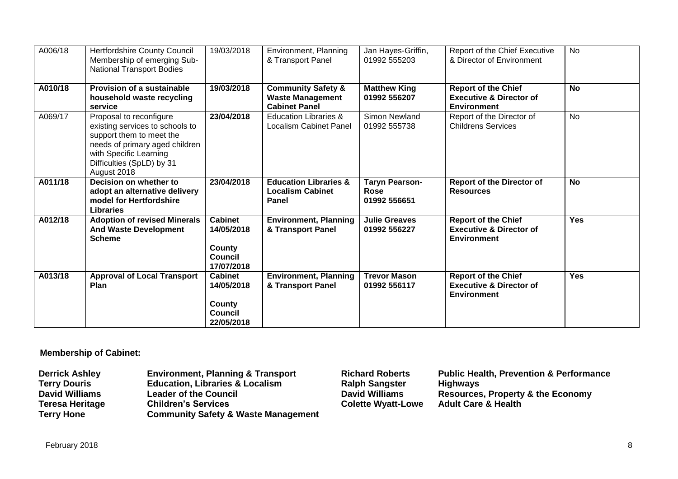| A006/18 | <b>Hertfordshire County Council</b><br>Membership of emerging Sub-<br><b>National Transport Bodies</b>                                                                                         | 19/03/2018                                                             | Environment, Planning<br>& Transport Panel                                       | Jan Hayes-Griffin,<br>01992 555203            | Report of the Chief Executive<br>& Director of Environment                             | <b>No</b>  |
|---------|------------------------------------------------------------------------------------------------------------------------------------------------------------------------------------------------|------------------------------------------------------------------------|----------------------------------------------------------------------------------|-----------------------------------------------|----------------------------------------------------------------------------------------|------------|
| A010/18 | <b>Provision of a sustainable</b><br>household waste recycling<br>service                                                                                                                      | 19/03/2018                                                             | <b>Community Safety &amp;</b><br><b>Waste Management</b><br><b>Cabinet Panel</b> | <b>Matthew King</b><br>01992 556207           | <b>Report of the Chief</b><br><b>Executive &amp; Director of</b><br><b>Environment</b> | <b>No</b>  |
| A069/17 | Proposal to reconfigure<br>existing services to schools to<br>support them to meet the<br>needs of primary aged children<br>with Specific Learning<br>Difficulties (SpLD) by 31<br>August 2018 | 23/04/2018                                                             | <b>Education Libraries &amp;</b><br>Localism Cabinet Panel                       | Simon Newland<br>01992 555738                 | Report of the Director of<br><b>Childrens Services</b>                                 | No         |
| A011/18 | Decision on whether to<br>adopt an alternative delivery<br>model for Hertfordshire<br><b>Libraries</b>                                                                                         | 23/04/2018                                                             | <b>Education Libraries &amp;</b><br><b>Localism Cabinet</b><br><b>Panel</b>      | <b>Taryn Pearson-</b><br>Rose<br>01992 556651 | <b>Report of the Director of</b><br><b>Resources</b>                                   | <b>No</b>  |
| A012/18 | <b>Adoption of revised Minerals</b><br><b>And Waste Development</b><br><b>Scheme</b>                                                                                                           | <b>Cabinet</b><br>14/05/2018<br>County<br><b>Council</b><br>17/07/2018 | <b>Environment, Planning</b><br>& Transport Panel                                | <b>Julie Greaves</b><br>01992 556227          | <b>Report of the Chief</b><br><b>Executive &amp; Director of</b><br><b>Environment</b> | <b>Yes</b> |
| A013/18 | <b>Approval of Local Transport</b><br>Plan                                                                                                                                                     | <b>Cabinet</b><br>14/05/2018<br>County<br><b>Council</b><br>22/05/2018 | <b>Environment, Planning</b><br>& Transport Panel                                | <b>Trevor Mason</b><br>01992 556117           | <b>Report of the Chief</b><br><b>Executive &amp; Director of</b><br><b>Environment</b> | <b>Yes</b> |

# **Membership of Cabinet:**

| <b>Derrick Ashley</b>  | <b>Environment, Planning &amp; Transport</b>   | <b>Richard Roberts</b>    | <b>Public Health, Prevention &amp; Performance</b> |
|------------------------|------------------------------------------------|---------------------------|----------------------------------------------------|
| <b>Terry Douris</b>    | <b>Education, Libraries &amp; Localism</b>     | <b>Ralph Sangster</b>     | <b>Highways</b>                                    |
| <b>David Williams</b>  | <b>Leader of the Council</b>                   | <b>David Williams</b>     | <b>Resources, Property &amp; the Economy</b>       |
| <b>Teresa Heritage</b> | <b>Children's Services</b>                     | <b>Colette Wyatt-Lowe</b> | <b>Adult Care &amp; Health</b>                     |
| <b>Terry Hone</b>      | <b>Community Safety &amp; Waste Management</b> |                           |                                                    |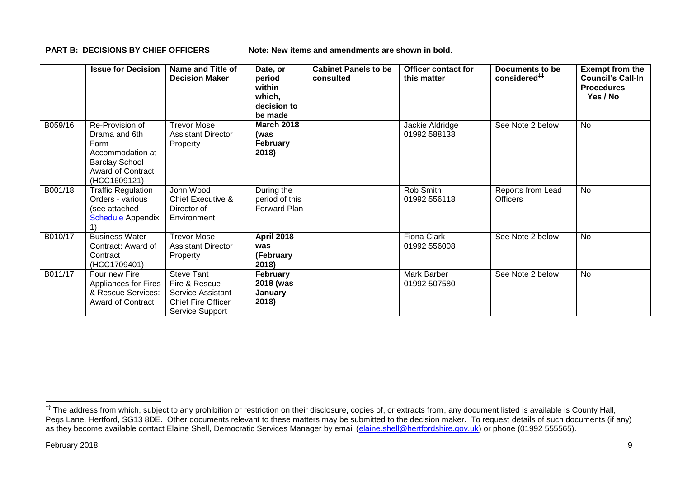**PART B: DECISIONS BY CHIEF OFFICERS Note: New items and amendments are shown in bold.** 

|         | <b>Issue for Decision</b>                                                                                                         | <b>Name and Title of</b><br><b>Decision Maker</b>                                                       | Date, or<br>period<br>within<br>which,<br>decision to<br>be made | <b>Cabinet Panels to be</b><br>consulted | <b>Officer contact for</b><br>this matter | Documents to be<br>considered <sup>##</sup> | <b>Exempt from the</b><br><b>Council's Call-In</b><br><b>Procedures</b><br>Yes / No |
|---------|-----------------------------------------------------------------------------------------------------------------------------------|---------------------------------------------------------------------------------------------------------|------------------------------------------------------------------|------------------------------------------|-------------------------------------------|---------------------------------------------|-------------------------------------------------------------------------------------|
| B059/16 | Re-Provision of<br>Drama and 6th<br>Form<br>Accommodation at<br><b>Barclay School</b><br><b>Award of Contract</b><br>(HCC1609121) | Trevor Mose<br><b>Assistant Director</b><br>Property                                                    | <b>March 2018</b><br>(was<br>February<br>2018)                   |                                          | Jackie Aldridge<br>01992 588138           | See Note 2 below                            | No                                                                                  |
| B001/18 | <b>Traffic Regulation</b><br>Orders - various<br>(see attached<br><b>Schedule</b> Appendix                                        | John Wood<br>Chief Executive &<br>Director of<br>Environment                                            | During the<br>period of this<br>Forward Plan                     |                                          | Rob Smith<br>01992 556118                 | Reports from Lead<br><b>Officers</b>        | <b>No</b>                                                                           |
| B010/17 | <b>Business Water</b><br>Contract: Award of<br>Contract<br>(HCC1709401)                                                           | <b>Trevor Mose</b><br><b>Assistant Director</b><br>Property                                             | <b>April 2018</b><br>was<br>(February<br>2018)                   |                                          | Fiona Clark<br>01992 556008               | See Note 2 below                            | <b>No</b>                                                                           |
| B011/17 | Four new Fire<br>Appliances for Fires<br>& Rescue Services:<br><b>Award of Contract</b>                                           | <b>Steve Tant</b><br>Fire & Rescue<br>Service Assistant<br><b>Chief Fire Officer</b><br>Service Support | February<br>2018 (was<br>January<br>2018)                        |                                          | Mark Barber<br>01992 507580               | See Note 2 below                            | <b>No</b>                                                                           |

1

<sup>‡‡</sup> The address from which, subject to any prohibition or restriction on their disclosure, copies of, or extracts from, any document listed is available is County Hall, Pegs Lane, Hertford, SG13 8DE. Other documents relevant to these matters may be submitted to the decision maker. To request details of such documents (if any) as they become available contact Elaine Shell, Democratic Services Manager by email [\(elaine.shell@hertfordshire.gov.uk\)](mailto:elaine.shell@hertfordshire.gov.uk) or phone (01992 55565).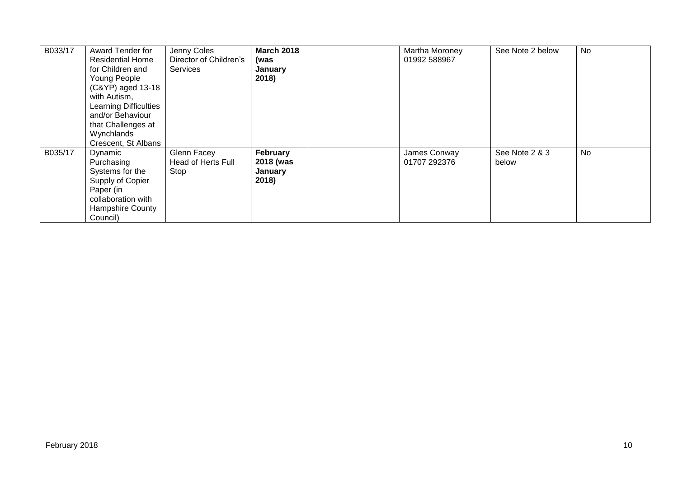| B033/17 | Award Tender for<br><b>Residential Home</b><br>for Children and<br>Young People<br>(C&YP) aged 13-18<br>with Autism,<br><b>Learning Difficulties</b><br>and/or Behaviour<br>that Challenges at<br>Wynchlands<br>Crescent, St Albans | Jenny Coles<br>Director of Children's<br>Services | <b>March 2018</b><br>(was<br>January<br>2018) | Martha Moroney<br>01992 588967 | See Note 2 below        | No |
|---------|-------------------------------------------------------------------------------------------------------------------------------------------------------------------------------------------------------------------------------------|---------------------------------------------------|-----------------------------------------------|--------------------------------|-------------------------|----|
| B035/17 | Dynamic<br>Purchasing<br>Systems for the<br>Supply of Copier<br>Paper (in<br>collaboration with<br>Hampshire County<br>Council)                                                                                                     | Glenn Facey<br>Head of Herts Full<br>Stop         | February<br>2018 (was<br>January<br>2018)     | James Conway<br>01707 292376   | See Note 2 & 3<br>below | No |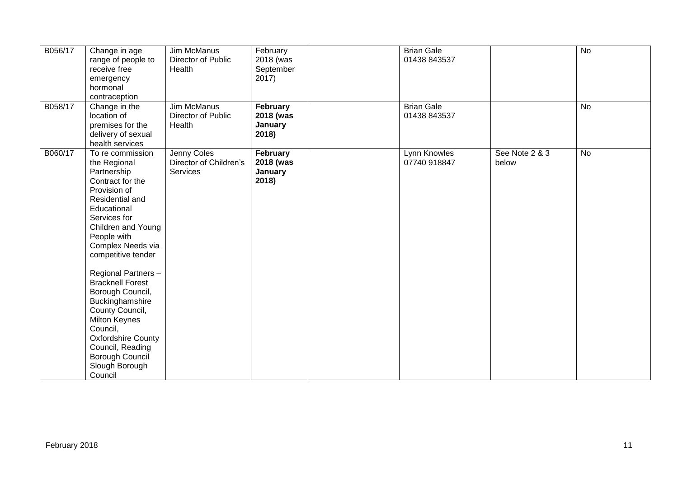| B056/17       | Change in age           | Jim McManus            | February  | <b>Brian Gale</b> |                | $\overline{N}$ |
|---------------|-------------------------|------------------------|-----------|-------------------|----------------|----------------|
|               | range of people to      | Director of Public     | 2018 (was | 01438 843537      |                |                |
|               | receive free            | Health                 | September |                   |                |                |
|               | emergency               |                        | 2017)     |                   |                |                |
|               | hormonal                |                        |           |                   |                |                |
|               | contraception           |                        |           |                   |                |                |
| B058/17       |                         | Jim McManus            | February  | <b>Brian Gale</b> |                | <b>No</b>      |
|               | Change in the           |                        |           |                   |                |                |
|               | location of             | Director of Public     | 2018 (was | 01438 843537      |                |                |
|               | premises for the        | Health                 | January   |                   |                |                |
|               | delivery of sexual      |                        | 2018)     |                   |                |                |
|               | health services         |                        |           |                   |                |                |
| B060/17       | To re commission        | Jenny Coles            | February  | Lynn Knowles      | See Note 2 & 3 | $\overline{N}$ |
|               | the Regional            | Director of Children's | 2018 (was | 07740 918847      | below          |                |
|               | Partnership             | Services               | January   |                   |                |                |
|               | Contract for the        |                        | 2018)     |                   |                |                |
|               | Provision of            |                        |           |                   |                |                |
|               | Residential and         |                        |           |                   |                |                |
|               | Educational             |                        |           |                   |                |                |
|               | Services for            |                        |           |                   |                |                |
|               |                         |                        |           |                   |                |                |
|               | Children and Young      |                        |           |                   |                |                |
|               | People with             |                        |           |                   |                |                |
|               | Complex Needs via       |                        |           |                   |                |                |
|               | competitive tender      |                        |           |                   |                |                |
|               |                         |                        |           |                   |                |                |
|               | Regional Partners -     |                        |           |                   |                |                |
|               | <b>Bracknell Forest</b> |                        |           |                   |                |                |
|               | Borough Council,        |                        |           |                   |                |                |
|               | Buckinghamshire         |                        |           |                   |                |                |
|               | County Council,         |                        |           |                   |                |                |
|               | Milton Keynes           |                        |           |                   |                |                |
|               | Council,                |                        |           |                   |                |                |
|               | Oxfordshire County      |                        |           |                   |                |                |
|               | Council, Reading        |                        |           |                   |                |                |
|               | Borough Council         |                        |           |                   |                |                |
|               | Slough Borough          |                        |           |                   |                |                |
|               | Council                 |                        |           |                   |                |                |
|               |                         |                        |           |                   |                |                |
|               |                         |                        |           |                   |                |                |
|               |                         |                        |           |                   |                |                |
|               |                         |                        |           |                   |                |                |
|               |                         |                        |           |                   |                |                |
|               |                         |                        |           |                   |                |                |
|               |                         |                        |           |                   |                |                |
| February 2018 |                         |                        |           |                   |                | 11             |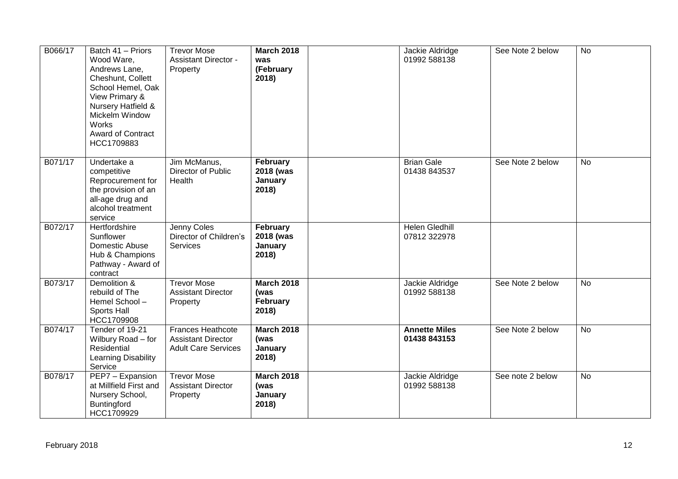| B066/17 | Batch 41 - Priors<br>Wood Ware,<br>Andrews Lane,<br>Cheshunt, Collett<br>School Hemel, Oak<br>View Primary &<br>Nursery Hatfield &<br>Mickelm Window<br>Works<br><b>Award of Contract</b><br>HCC1709883 | <b>Trevor Mose</b><br><b>Assistant Director -</b><br>Property                       | <b>March 2018</b><br>was<br>(February<br>2018) | Jackie Aldridge<br>01992 588138       | See Note 2 below | <b>No</b> |
|---------|---------------------------------------------------------------------------------------------------------------------------------------------------------------------------------------------------------|-------------------------------------------------------------------------------------|------------------------------------------------|---------------------------------------|------------------|-----------|
| B071/17 | Undertake a<br>competitive<br>Reprocurement for<br>the provision of an<br>all-age drug and<br>alcohol treatment<br>service                                                                              | Jim McManus,<br>Director of Public<br>Health                                        | February<br>2018 (was<br>January<br>2018)      | <b>Brian Gale</b><br>01438 843537     | See Note 2 below | <b>No</b> |
| B072/17 | Hertfordshire<br>Sunflower<br>Domestic Abuse<br>Hub & Champions<br>Pathway - Award of<br>contract                                                                                                       | Jenny Coles<br>Director of Children's<br>Services                                   | February<br>2018 (was<br>January<br>2018)      | <b>Helen Gledhill</b><br>07812 322978 |                  |           |
| B073/17 | Demolition &<br>rebuild of The<br>Hemel School-<br>Sports Hall<br>HCC1709908                                                                                                                            | <b>Trevor Mose</b><br><b>Assistant Director</b><br>Property                         | <b>March 2018</b><br>(was<br>February<br>2018) | Jackie Aldridge<br>01992 588138       | See Note 2 below | <b>No</b> |
| B074/17 | Tender of 19-21<br>Wilbury Road - for<br>Residential<br>Learning Disability<br>Service                                                                                                                  | <b>Frances Heathcote</b><br><b>Assistant Director</b><br><b>Adult Care Services</b> | <b>March 2018</b><br>(was<br>January<br>2018)  | <b>Annette Miles</b><br>01438 843153  | See Note 2 below | <b>No</b> |
| B078/17 | PEP7 - Expansion<br>at Millfield First and<br>Nursery School,<br>Buntingford<br>HCC1709929                                                                                                              | <b>Trevor Mose</b><br><b>Assistant Director</b><br>Property                         | <b>March 2018</b><br>(was<br>January<br>2018)  | Jackie Aldridge<br>01992 588138       | See note 2 below | No        |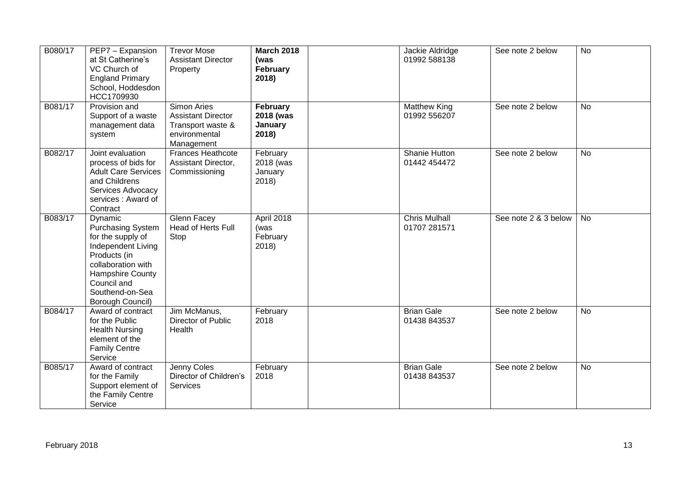| B080/17 | PEP7 - Expansion<br>at St Catherine's<br>VC Church of<br><b>England Primary</b><br>School, Hoddesdon<br>HCC1709930                                                                             | <b>Trevor Mose</b><br><b>Assistant Director</b><br>Property                                         | <b>March 2018</b><br>(was<br>February<br>2018) | Jackie Aldridge<br>01992 588138      | See note 2 below     | No        |
|---------|------------------------------------------------------------------------------------------------------------------------------------------------------------------------------------------------|-----------------------------------------------------------------------------------------------------|------------------------------------------------|--------------------------------------|----------------------|-----------|
| B081/17 | Provision and<br>Support of a waste<br>management data<br>system                                                                                                                               | <b>Simon Aries</b><br><b>Assistant Director</b><br>Transport waste &<br>environmental<br>Management | February<br>2018 (was<br>January<br>2018)      | <b>Matthew King</b><br>01992 556207  | See note 2 below     | <b>No</b> |
| B082/17 | Joint evaluation<br>process of bids for<br><b>Adult Care Services</b><br>and Childrens<br>Services Advocacy<br>services: Award of<br>Contract                                                  | <b>Frances Heathcote</b><br>Assistant Director,<br>Commissioning                                    | February<br>2018 (was<br>January<br>2018)      | Shanie Hutton<br>01442 454472        | See note 2 below     | No        |
| B083/17 | Dynamic<br><b>Purchasing System</b><br>for the supply of<br>Independent Living<br>Products (in<br>collaboration with<br>Hampshire County<br>Council and<br>Southend-on-Sea<br>Borough Council) | Glenn Facey<br>Head of Herts Full<br>Stop                                                           | April 2018<br>(was<br>February<br>2018)        | <b>Chris Mulhall</b><br>01707 281571 | See note 2 & 3 below | <b>No</b> |
| B084/17 | Award of contract<br>for the Public<br><b>Health Nursing</b><br>element of the<br><b>Family Centre</b><br>Service                                                                              | Jim McManus,<br>Director of Public<br>Health                                                        | February<br>2018                               | <b>Brian Gale</b><br>01438 843537    | See note 2 below     | <b>No</b> |
| B085/17 | Award of contract<br>for the Family<br>Support element of<br>the Family Centre<br>Service                                                                                                      | Jenny Coles<br>Director of Children's<br>Services                                                   | February<br>2018                               | <b>Brian Gale</b><br>01438 843537    | See note 2 below     | <b>No</b> |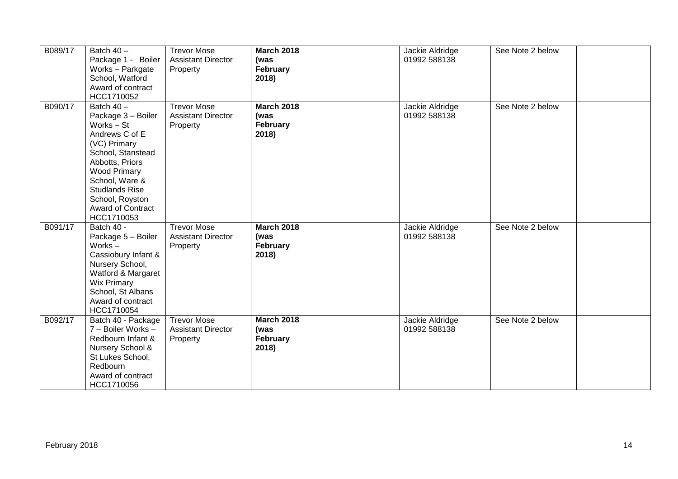| B089/17 | Batch $40 -$<br>Package 1 - Boiler<br>Works - Parkgate<br>School, Watford<br>Award of contract<br>HCC1710052                                                                                                                                     | <b>Trevor Mose</b><br><b>Assistant Director</b><br>Property | <b>March 2018</b><br>(was<br>February<br>2018) | Jackie Aldridge<br>01992 588138 | See Note 2 below |  |
|---------|--------------------------------------------------------------------------------------------------------------------------------------------------------------------------------------------------------------------------------------------------|-------------------------------------------------------------|------------------------------------------------|---------------------------------|------------------|--|
| B090/17 | Batch 40 -<br>Package 3 - Boiler<br>Works - St<br>Andrews C of E<br>(VC) Primary<br>School, Stanstead<br>Abbotts, Priors<br><b>Wood Primary</b><br>School, Ware &<br><b>Studlands Rise</b><br>School, Royston<br>Award of Contract<br>HCC1710053 | <b>Trevor Mose</b><br><b>Assistant Director</b><br>Property | <b>March 2018</b><br>(was<br>February<br>2018) | Jackie Aldridge<br>01992 588138 | See Note 2 below |  |
| B091/17 | Batch 40 -<br>Package 5 - Boiler<br>Works $-$<br>Cassiobury Infant &<br>Nursery School,<br>Watford & Margaret<br>Wix Primary<br>School, St Albans<br>Award of contract<br>HCC1710054                                                             | <b>Trevor Mose</b><br><b>Assistant Director</b><br>Property | <b>March 2018</b><br>(was<br>February<br>2018) | Jackie Aldridge<br>01992 588138 | See Note 2 below |  |
| B092/17 | Batch 40 - Package<br>7 - Boiler Works -<br>Redbourn Infant &<br>Nursery School &<br>St Lukes School,<br>Redbourn<br>Award of contract<br>HCC1710056                                                                                             | <b>Trevor Mose</b><br><b>Assistant Director</b><br>Property | <b>March 2018</b><br>(was<br>February<br>2018) | Jackie Aldridge<br>01992 588138 | See Note 2 below |  |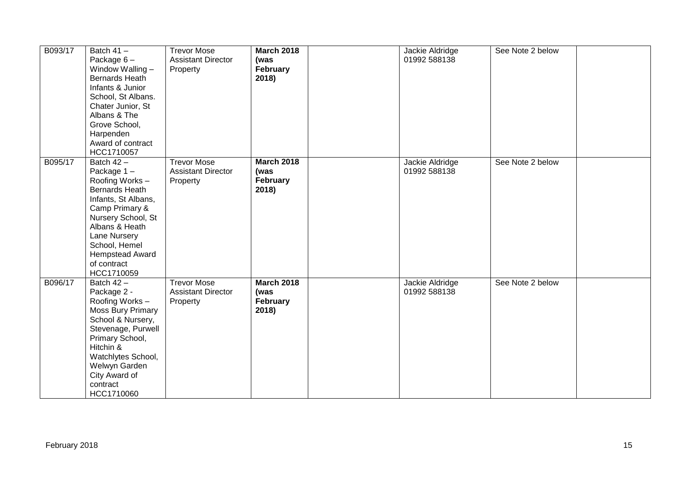| B093/17 | Batch $41 -$<br>Package $6-$<br>Window Walling -<br>Bernards Heath<br>Infants & Junior<br>School, St Albans.<br>Chater Junior, St<br>Albans & The<br>Grove School,<br>Harpenden<br>Award of contract<br>HCC1710057                       | <b>Trevor Mose</b><br><b>Assistant Director</b><br>Property | <b>March 2018</b><br>(was<br>February<br>2018) | Jackie Aldridge<br>01992 588138 | See Note 2 below |  |
|---------|------------------------------------------------------------------------------------------------------------------------------------------------------------------------------------------------------------------------------------------|-------------------------------------------------------------|------------------------------------------------|---------------------------------|------------------|--|
| B095/17 | Batch $42 -$<br>Package 1-<br>Roofing Works -<br><b>Bernards Heath</b><br>Infants, St Albans,<br>Camp Primary &<br>Nursery School, St<br>Albans & Heath<br>Lane Nursery<br>School, Hemel<br>Hempstead Award<br>of contract<br>HCC1710059 | <b>Trevor Mose</b><br><b>Assistant Director</b><br>Property | <b>March 2018</b><br>(was<br>February<br>2018) | Jackie Aldridge<br>01992 588138 | See Note 2 below |  |
| B096/17 | Batch 42 -<br>Package 2 -<br>Roofing Works -<br><b>Moss Bury Primary</b><br>School & Nursery,<br>Stevenage, Purwell<br>Primary School,<br>Hitchin &<br>Watchlytes School,<br>Welwyn Garden<br>City Award of<br>contract<br>HCC1710060    | <b>Trevor Mose</b><br><b>Assistant Director</b><br>Property | <b>March 2018</b><br>(was<br>February<br>2018) | Jackie Aldridge<br>01992 588138 | See Note 2 below |  |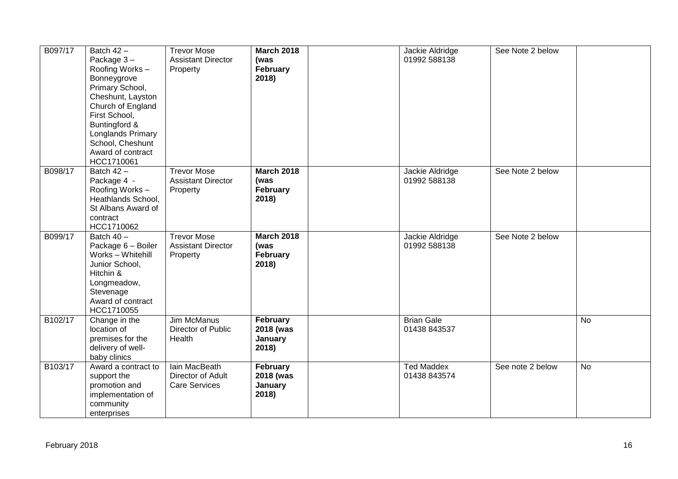| B097/17 | Batch $42 -$<br>Package 3-<br>Roofing Works-<br>Bonneygrove<br>Primary School,<br>Cheshunt, Layston<br>Church of England<br>First School,<br>Buntingford &<br>Longlands Primary<br>School, Cheshunt<br>Award of contract<br>HCC1710061 | <b>Trevor Mose</b><br><b>Assistant Director</b><br>Property | <b>March 2018</b><br>(was<br>February<br>2018) | Jackie Aldridge<br>01992 588138   | See Note 2 below |           |
|---------|----------------------------------------------------------------------------------------------------------------------------------------------------------------------------------------------------------------------------------------|-------------------------------------------------------------|------------------------------------------------|-----------------------------------|------------------|-----------|
| B098/17 | Batch $42 -$<br>Package 4 -<br>Roofing Works-<br>Heathlands School,<br>St Albans Award of<br>contract<br>HCC1710062                                                                                                                    | <b>Trevor Mose</b><br><b>Assistant Director</b><br>Property | <b>March 2018</b><br>(was<br>February<br>2018) | Jackie Aldridge<br>01992 588138   | See Note 2 below |           |
| B099/17 | Batch 40 -<br>Package 6 - Boiler<br>Works - Whitehill<br>Junior School,<br>Hitchin &<br>Longmeadow,<br>Stevenage<br>Award of contract<br>HCC1710055                                                                                    | <b>Trevor Mose</b><br><b>Assistant Director</b><br>Property | <b>March 2018</b><br>(was<br>February<br>2018) | Jackie Aldridge<br>01992 588138   | See Note 2 below |           |
| B102/17 | Change in the<br>location of<br>premises for the<br>delivery of well-<br>baby clinics                                                                                                                                                  | Jim McManus<br>Director of Public<br>Health                 | February<br>2018 (was<br>January<br>2018)      | <b>Brian Gale</b><br>01438 843537 |                  | <b>No</b> |
| B103/17 | Award a contract to<br>support the<br>promotion and<br>implementation of<br>community<br>enterprises                                                                                                                                   | Iain MacBeath<br>Director of Adult<br><b>Care Services</b>  | February<br>2018 (was<br>January<br>2018)      | <b>Ted Maddex</b><br>01438 843574 | See note 2 below | <b>No</b> |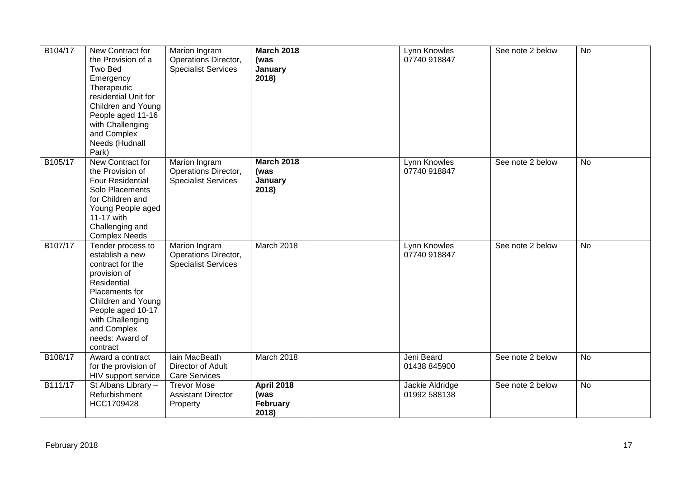| B104/17 | New Contract for<br>the Provision of a<br>Two Bed<br>Emergency<br>Therapeutic<br>residential Unit for<br>Children and Young<br>People aged 11-16<br>with Challenging<br>and Complex<br>Needs (Hudnall<br>Park)         | Marion Ingram<br>Operations Director,<br><b>Specialist Services</b> | <b>March 2018</b><br>(was<br>January<br>2018)  | Lynn Knowles<br>07740 918847    | See note 2 below | <b>No</b> |
|---------|------------------------------------------------------------------------------------------------------------------------------------------------------------------------------------------------------------------------|---------------------------------------------------------------------|------------------------------------------------|---------------------------------|------------------|-----------|
| B105/17 | New Contract for<br>the Provision of<br><b>Four Residential</b><br>Solo Placements<br>for Children and<br>Young People aged<br>11-17 with<br>Challenging and<br><b>Complex Needs</b>                                   | Marion Ingram<br>Operations Director,<br><b>Specialist Services</b> | <b>March 2018</b><br>(was<br>January<br>2018)  | Lynn Knowles<br>07740 918847    | See note 2 below | <b>No</b> |
| B107/17 | Tender process to<br>establish a new<br>contract for the<br>provision of<br>Residential<br>Placements for<br>Children and Young<br>People aged 10-17<br>with Challenging<br>and Complex<br>needs: Award of<br>contract | Marion Ingram<br>Operations Director,<br><b>Specialist Services</b> | March 2018                                     | Lynn Knowles<br>07740 918847    | See note 2 below | <b>No</b> |
| B108/17 | Award a contract<br>for the provision of<br>HIV support service                                                                                                                                                        | Iain MacBeath<br>Director of Adult<br><b>Care Services</b>          | March 2018                                     | Jeni Beard<br>01438 845900      | See note 2 below | <b>No</b> |
| B111/17 | St Albans Library -<br>Refurbishment<br>HCC1709428                                                                                                                                                                     | <b>Trevor Mose</b><br><b>Assistant Director</b><br>Property         | <b>April 2018</b><br>(was<br>February<br>2018) | Jackie Aldridge<br>01992 588138 | See note 2 below | No        |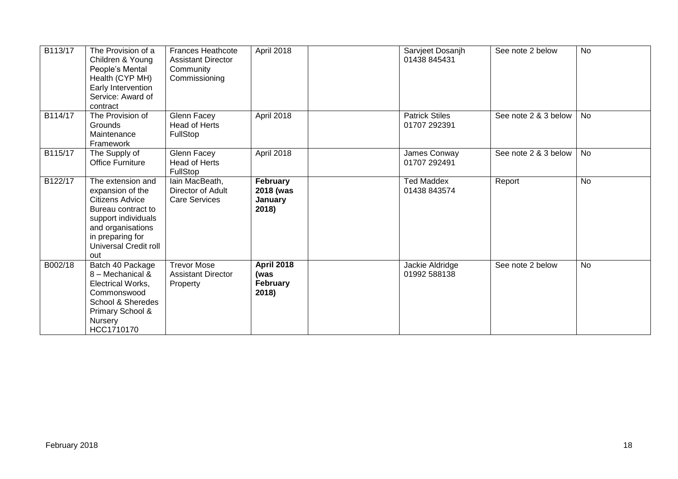| B113/17 | The Provision of a<br>Children & Young<br>People's Mental<br>Health (CYP MH)<br>Early Intervention<br>Service: Award of<br>contract                                                   | <b>Frances Heathcote</b><br><b>Assistant Director</b><br>Community<br>Commissioning | April 2018                                            | Sarvjeet Dosanjh<br>01438 845431      | See note 2 below     | <b>No</b> |
|---------|---------------------------------------------------------------------------------------------------------------------------------------------------------------------------------------|-------------------------------------------------------------------------------------|-------------------------------------------------------|---------------------------------------|----------------------|-----------|
| B114/17 | The Provision of<br>Grounds<br>Maintenance<br>Framework                                                                                                                               | Glenn Facey<br><b>Head of Herts</b><br>FullStop                                     | April 2018                                            | <b>Patrick Stiles</b><br>01707 292391 | See note 2 & 3 below | No.       |
| B115/17 | The Supply of<br><b>Office Furniture</b>                                                                                                                                              | Glenn Facey<br>Head of Herts<br>FullStop                                            | April 2018                                            | James Conway<br>01707 292491          | See note 2 & 3 below | No        |
| B122/17 | The extension and<br>expansion of the<br><b>Citizens Advice</b><br>Bureau contract to<br>support individuals<br>and organisations<br>in preparing for<br>Universal Credit roll<br>out | lain MacBeath,<br>Director of Adult<br><b>Care Services</b>                         | February<br>2018 (was<br>January<br>2018)             | <b>Ted Maddex</b><br>01438 843574     | Report               | <b>No</b> |
| B002/18 | Batch 40 Package<br>8 - Mechanical &<br>Electrical Works,<br>Commonswood<br>School & Sheredes<br>Primary School &<br><b>Nursery</b><br>HCC1710170                                     | <b>Trevor Mose</b><br><b>Assistant Director</b><br>Property                         | <b>April 2018</b><br>(was<br><b>February</b><br>2018) | Jackie Aldridge<br>01992 588138       | See note 2 below     | <b>No</b> |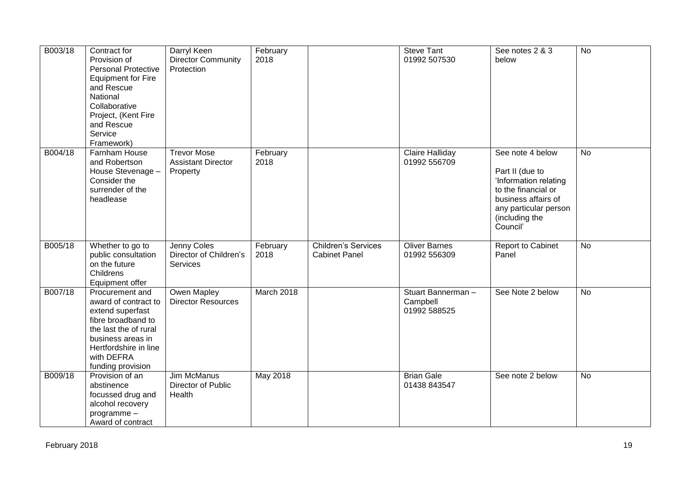| B003/18 | Contract for<br>Provision of<br><b>Personal Protective</b><br><b>Equipment for Fire</b><br>and Rescue<br>National<br>Collaborative<br>Project, (Kent Fire<br>and Rescue<br>Service<br>Framework) | Darryl Keen<br><b>Director Community</b><br>Protection      | February<br>2018 |                                                    | <b>Steve Tant</b><br>01992 507530             | See notes 2 & 3<br>below                                                                                                                                          | <b>No</b>      |
|---------|--------------------------------------------------------------------------------------------------------------------------------------------------------------------------------------------------|-------------------------------------------------------------|------------------|----------------------------------------------------|-----------------------------------------------|-------------------------------------------------------------------------------------------------------------------------------------------------------------------|----------------|
| B004/18 | Farnham House<br>and Robertson<br>House Stevenage -<br>Consider the<br>surrender of the<br>headlease                                                                                             | <b>Trevor Mose</b><br><b>Assistant Director</b><br>Property | February<br>2018 |                                                    | Claire Halliday<br>01992 556709               | See note 4 below<br>Part II (due to<br>'Information relating<br>to the financial or<br>business affairs of<br>any particular person<br>(including the<br>Council' | <b>No</b>      |
| B005/18 | Whether to go to<br>public consultation<br>on the future<br>Childrens<br>Equipment offer                                                                                                         | Jenny Coles<br>Director of Children's<br>Services           | February<br>2018 | <b>Children's Services</b><br><b>Cabinet Panel</b> | <b>Oliver Barnes</b><br>01992 556309          | Report to Cabinet<br>Panel                                                                                                                                        | <b>No</b>      |
| B007/18 | Procurement and<br>award of contract to<br>extend superfast<br>fibre broadband to<br>the last the of rural<br>business areas in<br>Hertfordshire in line<br>with DEFRA<br>funding provision      | Owen Mapley<br><b>Director Resources</b>                    | March 2018       |                                                    | Stuart Bannerman-<br>Campbell<br>01992 588525 | See Note 2 below                                                                                                                                                  | <b>No</b>      |
| B009/18 | Provision of an<br>abstinence<br>focussed drug and<br>alcohol recovery<br>programme-<br>Award of contract                                                                                        | <b>Jim McManus</b><br>Director of Public<br>Health          | <b>May 2018</b>  |                                                    | <b>Brian Gale</b><br>01438 843547             | See note 2 below                                                                                                                                                  | $\overline{N}$ |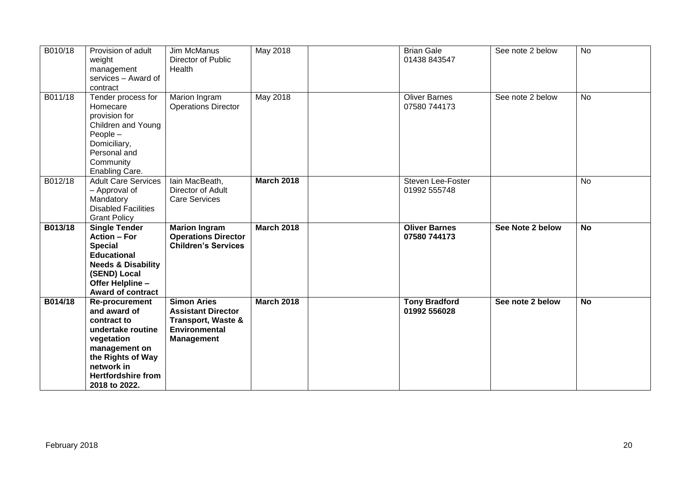| B010/18 | Provision of adult<br>weight<br>management<br>services - Award of<br>contract                                                                                                        | Jim McManus<br>Director of Public<br>Health                                                                                   | May 2018          | <b>Brian Gale</b><br>01438 843547    | See note 2 below | <b>No</b> |
|---------|--------------------------------------------------------------------------------------------------------------------------------------------------------------------------------------|-------------------------------------------------------------------------------------------------------------------------------|-------------------|--------------------------------------|------------------|-----------|
| B011/18 | Tender process for<br>Homecare<br>provision for<br>Children and Young<br>People -<br>Domiciliary,<br>Personal and<br>Community<br>Enabling Care.                                     | Marion Ingram<br><b>Operations Director</b>                                                                                   | <b>May 2018</b>   | <b>Oliver Barnes</b><br>07580 744173 | See note 2 below | <b>No</b> |
| B012/18 | <b>Adult Care Services</b><br>- Approval of<br>Mandatory<br><b>Disabled Facilities</b><br><b>Grant Policy</b>                                                                        | lain MacBeath,<br>Director of Adult<br><b>Care Services</b>                                                                   | <b>March 2018</b> | Steven Lee-Foster<br>01992 555748    |                  | <b>No</b> |
| B013/18 | <b>Single Tender</b><br><b>Action - For</b><br><b>Special</b><br><b>Educational</b><br><b>Needs &amp; Disability</b><br>(SEND) Local<br>Offer Helpline -<br><b>Award of contract</b> | <b>Marion Ingram</b><br><b>Operations Director</b><br><b>Children's Services</b>                                              | <b>March 2018</b> | <b>Oliver Barnes</b><br>07580 744173 | See Note 2 below | <b>No</b> |
| B014/18 | Re-procurement<br>and award of<br>contract to<br>undertake routine<br>vegetation<br>management on<br>the Rights of Way<br>network in<br><b>Hertfordshire from</b><br>2018 to 2022.   | <b>Simon Aries</b><br><b>Assistant Director</b><br><b>Transport, Waste &amp;</b><br><b>Environmental</b><br><b>Management</b> | <b>March 2018</b> | <b>Tony Bradford</b><br>01992 556028 | See note 2 below | <b>No</b> |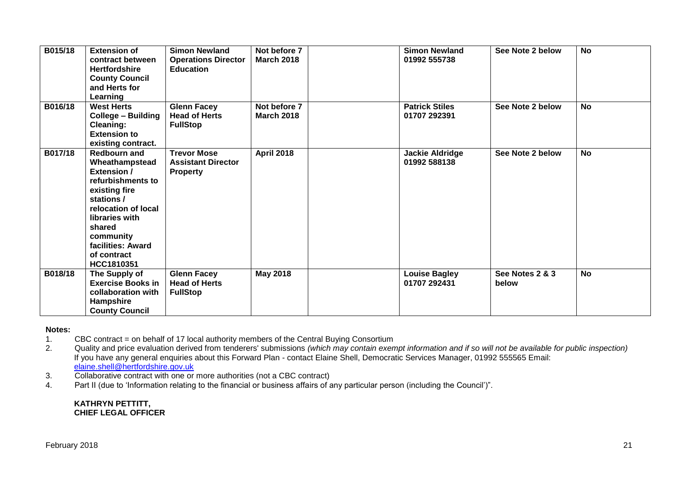| B015/18 | <b>Extension of</b><br>contract between<br><b>Hertfordshire</b><br><b>County Council</b><br>and Herts for<br>Learning                                                                                                             | <b>Simon Newland</b><br><b>Operations Director</b><br><b>Education</b> | Not before 7<br><b>March 2018</b> | <b>Simon Newland</b><br>01992 555738   | See Note 2 below         | <b>No</b> |
|---------|-----------------------------------------------------------------------------------------------------------------------------------------------------------------------------------------------------------------------------------|------------------------------------------------------------------------|-----------------------------------|----------------------------------------|--------------------------|-----------|
| B016/18 | <b>West Herts</b><br><b>College - Building</b><br><b>Cleaning:</b><br><b>Extension to</b><br>existing contract.                                                                                                                   | <b>Glenn Facey</b><br><b>Head of Herts</b><br><b>FullStop</b>          | Not before 7<br><b>March 2018</b> | <b>Patrick Stiles</b><br>01707 292391  | See Note 2 below         | <b>No</b> |
| B017/18 | <b>Redbourn and</b><br>Wheathampstead<br><b>Extension /</b><br>refurbishments to<br>existing fire<br>stations /<br>relocation of local<br>libraries with<br>shared<br>community<br>facilities: Award<br>of contract<br>HCC1810351 | <b>Trevor Mose</b><br><b>Assistant Director</b><br><b>Property</b>     | <b>April 2018</b>                 | <b>Jackie Aldridge</b><br>01992 588138 | See Note 2 below         | <b>No</b> |
| B018/18 | The Supply of<br><b>Exercise Books in</b><br>collaboration with<br>Hampshire<br><b>County Council</b>                                                                                                                             | <b>Glenn Facey</b><br><b>Head of Herts</b><br><b>FullStop</b>          | <b>May 2018</b>                   | <b>Louise Bagley</b><br>01707 292431   | See Notes 2 & 3<br>below | <b>No</b> |

### **Notes:**

1. CBC contract = on behalf of 17 local authority members of the Central Buying Consortium<br>2. Quality and price evaluation derived from tenderers' submissions (which may contain exen

2. Quality and price evaluation derived from tenderers' submissions *(which may contain exempt information and if so will not be available for public inspection)* If you have any general enquiries about this Forward Plan - contact Elaine Shell, Democratic Services Manager, 01992 555565 Email: [elaine.shell@hertfordshire.gov.uk](mailto:elaine.shell@hertfordshire.gov.uk) 

- 3. Collaborative contract with one or more authorities (not a CBC contract)
- 4. Part II (due to 'Information relating to the financial or business affairs of any particular person (including the Council')".

#### **KATHRYN PETTITT, CHIEF LEGAL OFFICER**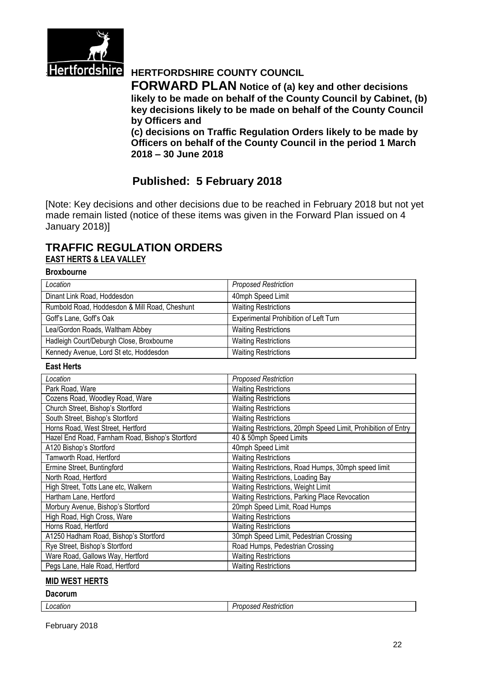

# **Hertfordshire** HERTFORDSHIRE COUNTY COUNCIL

**FORWARD PLAN Notice of (a) key and other decisions likely to be made on behalf of the County Council by Cabinet, (b) key decisions likely to be made on behalf of the County Council by Officers and** 

**(c) decisions on Traffic Regulation Orders likely to be made by Officers on behalf of the County Council in the period 1 March 2018 – 30 June 2018**

# **Published: 5 February 2018**

[Note: Key decisions and other decisions due to be reached in February 2018 but not yet made remain listed (notice of these items was given in the Forward Plan issued on 4 January 2018)]

# **TRAFFIC REGULATION ORDERS EAST HERTS & LEA VALLEY**

#### **Broxbourne**

| Location                                      | <b>Proposed Restriction</b>           |
|-----------------------------------------------|---------------------------------------|
| Dinant Link Road, Hoddesdon                   | 40mph Speed Limit                     |
| Rumbold Road, Hoddesdon & Mill Road, Cheshunt | <b>Waiting Restrictions</b>           |
| Goff's Lane, Goff's Oak                       | Experimental Prohibition of Left Turn |
| Lea/Gordon Roads, Waltham Abbey               | <b>Waiting Restrictions</b>           |
| Hadleigh Court/Deburgh Close, Broxbourne      | <b>Waiting Restrictions</b>           |
| Kennedy Avenue, Lord St etc, Hoddesdon        | <b>Waiting Restrictions</b>           |

#### **East Herts**

| Location                                         | <b>Proposed Restriction</b>                                   |
|--------------------------------------------------|---------------------------------------------------------------|
| Park Road, Ware                                  | <b>Waiting Restrictions</b>                                   |
| Cozens Road, Woodley Road, Ware                  | <b>Waiting Restrictions</b>                                   |
| Church Street, Bishop's Stortford                | <b>Waiting Restrictions</b>                                   |
| South Street, Bishop's Stortford                 | <b>Waiting Restrictions</b>                                   |
| Horns Road, West Street, Hertford                | Waiting Restrictions, 20mph Speed Limit, Prohibition of Entry |
| Hazel End Road, Farnham Road, Bishop's Stortford | 40 & 50mph Speed Limits                                       |
| A120 Bishop's Stortford                          | 40mph Speed Limit                                             |
| Tamworth Road, Hertford                          | <b>Waiting Restrictions</b>                                   |
| Ermine Street, Buntingford                       | Waiting Restrictions, Road Humps, 30mph speed limit           |
| North Road, Hertford                             | Waiting Restrictions, Loading Bay                             |
| High Street, Totts Lane etc, Walkern             | Waiting Restrictions, Weight Limit                            |
| Hartham Lane, Hertford                           | Waiting Restrictions, Parking Place Revocation                |
| Morbury Avenue, Bishop's Stortford               | 20mph Speed Limit, Road Humps                                 |
| High Road, High Cross, Ware                      | <b>Waiting Restrictions</b>                                   |
| Horns Road, Hertford                             | <b>Waiting Restrictions</b>                                   |
| A1250 Hadham Road, Bishop's Stortford            | 30mph Speed Limit, Pedestrian Crossing                        |
| Rye Street, Bishop's Stortford                   | Road Humps, Pedestrian Crossing                               |
| Ware Road, Gallows Way, Hertford                 | <b>Waiting Restrictions</b>                                   |
| Pegs Lane, Hale Road, Hertford                   | <b>Waiting Restrictions</b>                                   |

#### **MID WEST HERTS**

#### **Dacorum**

| ∟ocation | .<br>Restriction<br>----<br>11.135t |
|----------|-------------------------------------|
|          |                                     |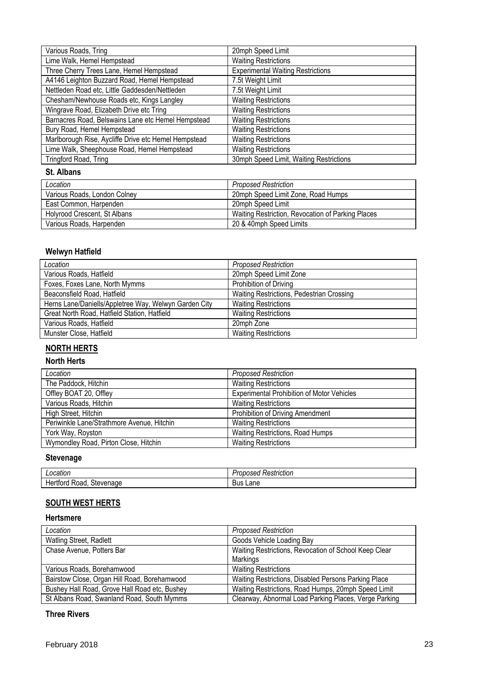| Various Roads, Tring                                 | 20mph Speed Limit                        |
|------------------------------------------------------|------------------------------------------|
| Lime Walk, Hemel Hempstead                           | <b>Waiting Restrictions</b>              |
| Three Cherry Trees Lane, Hemel Hempstead             | <b>Experimental Waiting Restrictions</b> |
| A4146 Leighton Buzzard Road, Hemel Hempstead         | 7.5t Weight Limit                        |
| Nettleden Road etc, Little Gaddesden/Nettleden       | 7.5t Weight Limit                        |
| Chesham/Newhouse Roads etc, Kings Langley            | <b>Waiting Restrictions</b>              |
| Wingrave Road, Elizabeth Drive etc Tring             | <b>Waiting Restrictions</b>              |
| Barnacres Road, Belswains Lane etc Hemel Hempstead   | <b>Waiting Restrictions</b>              |
| Bury Road, Hemel Hempstead                           | <b>Waiting Restrictions</b>              |
| Marlborough Rise, Aycliffe Drive etc Hemel Hempstead | <b>Waiting Restrictions</b>              |
| Lime Walk, Sheephouse Road, Hemel Hempstead          | <b>Waiting Restrictions</b>              |
| Tringford Road, Tring                                | 30mph Speed Limit, Waiting Restrictions  |

## **St. Albans**

| Location                     | <b>Proposed Restriction</b>                       |
|------------------------------|---------------------------------------------------|
| Various Roads, London Colney | 20mph Speed Limit Zone, Road Humps                |
| East Common, Harpenden       | 20mph Speed Limit                                 |
| Holyrood Crescent, St Albans | Waiting Restriction, Revocation of Parking Places |
| Various Roads, Harpenden     | 20 & 40mph Speed Limits                           |

## **Welwyn Hatfield**

| Location                                              | <b>Proposed Restriction</b>               |
|-------------------------------------------------------|-------------------------------------------|
| Various Roads, Hatfield                               | 20mph Speed Limit Zone                    |
| Foxes, Foxes Lane, North Mymms                        | Prohibition of Driving                    |
| Beaconsfield Road, Hatfield                           | Waiting Restrictions, Pedestrian Crossing |
| Herns Lane/Daniells/Appletree Way, Welwyn Garden City | <b>Waiting Restrictions</b>               |
| Great North Road, Hatfield Station, Hatfield          | <b>Waiting Restrictions</b>               |
| Various Roads, Hatfield                               | 20mph Zone                                |
| Munster Close, Hatfield                               | <b>Waiting Restrictions</b>               |

# **NORTH HERTS**

# **North Herts**

| Location                                   | <b>Proposed Restriction</b>                       |
|--------------------------------------------|---------------------------------------------------|
| The Paddock, Hitchin                       | <b>Waiting Restrictions</b>                       |
| Offley BOAT 20, Offley                     | <b>Experimental Prohibition of Motor Vehicles</b> |
| Various Roads, Hitchin                     | <b>Waiting Restrictions</b>                       |
| High Street, Hitchin                       | Prohibition of Driving Amendment                  |
| Periwinkle Lane/Strathmore Avenue, Hitchin | <b>Waiting Restrictions</b>                       |
| York Way, Royston                          | Waiting Restrictions, Road Humps                  |
| Wymondley Road, Pirton Close, Hitchin      | <b>Waiting Restrictions</b>                       |

# **Stevenage**

| ocation<br>⊸∪⊷                         | Restriction<br>ncon<br>ovosea |
|----------------------------------------|-------------------------------|
| -<br>Stevenage<br>Road.<br>⊣er<br>πoru | ∟ane<br><b>Bus</b>            |

# **SOUTH WEST HERTS**

### **Hertsmere**

| Location                                      | <b>Proposed Restriction</b>                           |
|-----------------------------------------------|-------------------------------------------------------|
| Watling Street, Radlett                       | Goods Vehicle Loading Bay                             |
| Chase Avenue, Potters Bar                     | Waiting Restrictions, Revocation of School Keep Clear |
|                                               | Markings                                              |
| Various Roads, Borehamwood                    | <b>Waiting Restrictions</b>                           |
| Bairstow Close, Organ Hill Road, Borehamwood  | Waiting Restrictions, Disabled Persons Parking Place  |
| Bushey Hall Road, Grove Hall Road etc, Bushey | Waiting Restrictions, Road Humps, 20mph Speed Limit   |
| St Albans Road, Swanland Road, South Mymms    | Clearway, Abnormal Load Parking Places, Verge Parking |

## **Three Rivers**